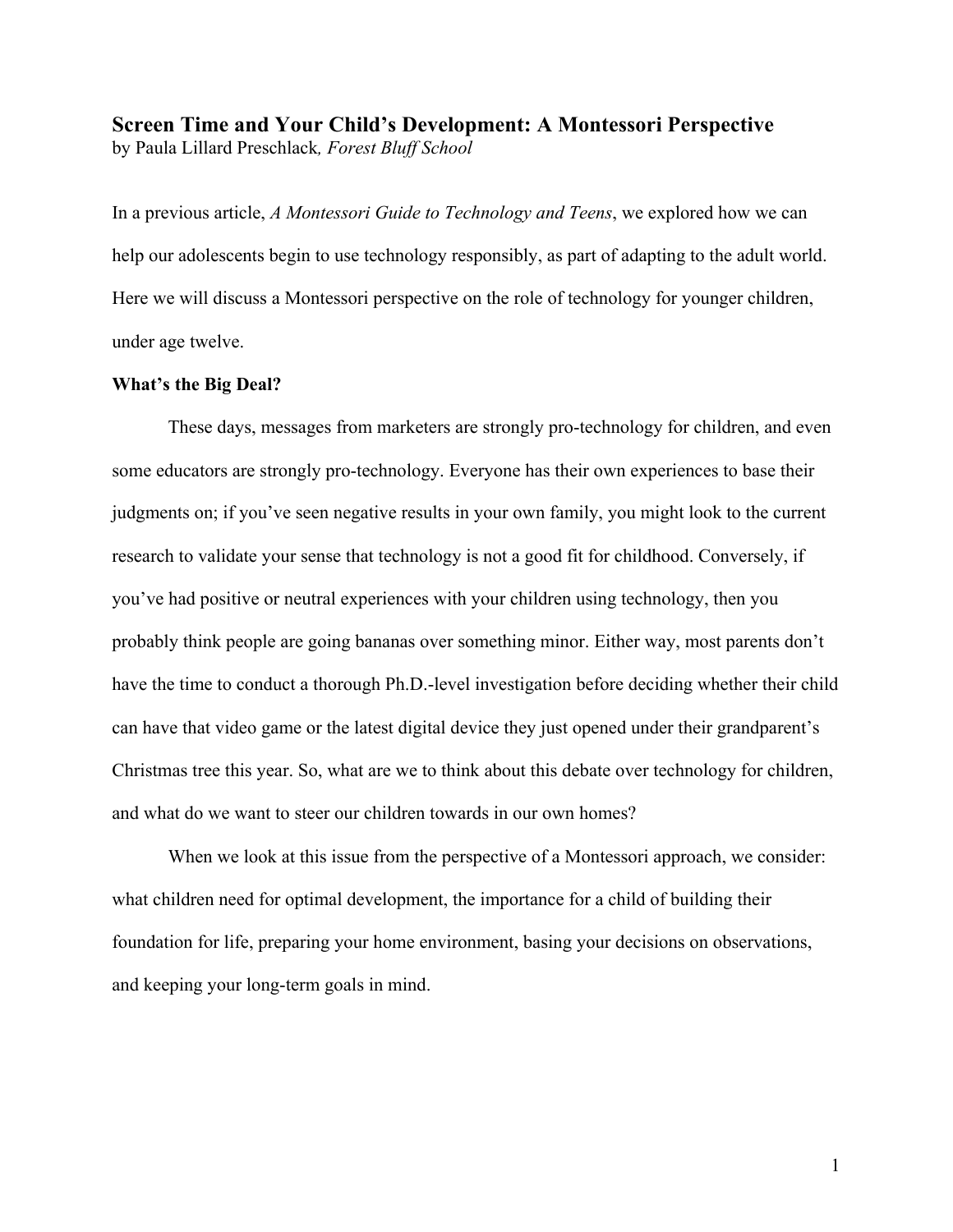**Screen Time and Your Child's Development: A Montessori Perspective** by Paula Lillard Preschlack*, Forest Bluff School*

In a previous article, *A Montessori Guide to Technology and Teens*, we explored how we can help our adolescents begin to use technology responsibly, as part of adapting to the adult world. Here we will discuss a Montessori perspective on the role of technology for younger children, under age twelve.

# **What's the Big Deal?**

These days, messages from marketers are strongly pro-technology for children, and even some educators are strongly pro-technology. Everyone has their own experiences to base their judgments on; if you've seen negative results in your own family, you might look to the current research to validate your sense that technology is not a good fit for childhood. Conversely, if you've had positive or neutral experiences with your children using technology, then you probably think people are going bananas over something minor. Either way, most parents don't have the time to conduct a thorough Ph.D.-level investigation before deciding whether their child can have that video game or the latest digital device they just opened under their grandparent's Christmas tree this year. So, what are we to think about this debate over technology for children, and what do we want to steer our children towards in our own homes?

When we look at this issue from the perspective of a Montessori approach, we consider: what children need for optimal development, the importance for a child of building their foundation for life, preparing your home environment, basing your decisions on observations, and keeping your long-term goals in mind.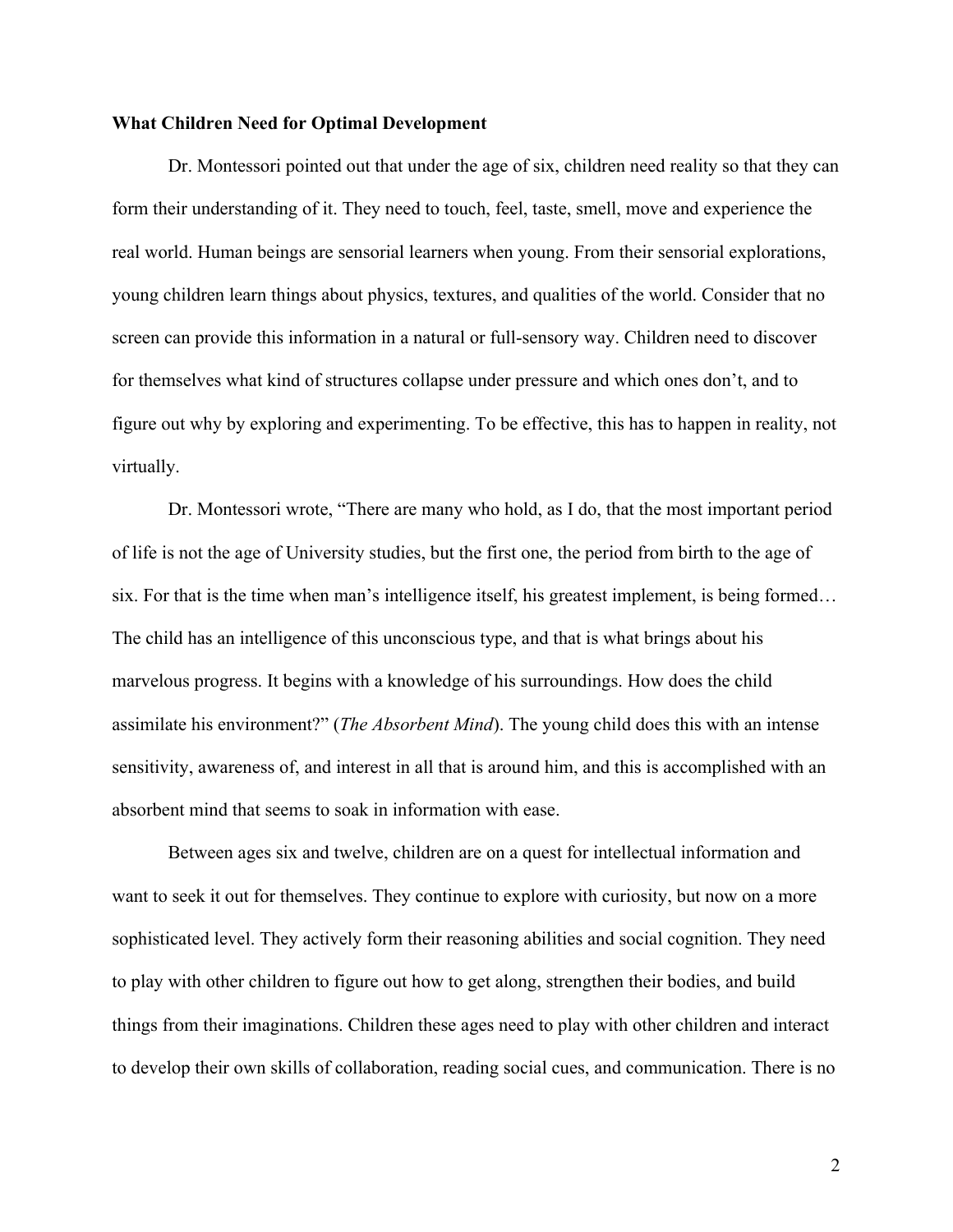## **What Children Need for Optimal Development**

Dr. Montessori pointed out that under the age of six, children need reality so that they can form their understanding of it. They need to touch, feel, taste, smell, move and experience the real world. Human beings are sensorial learners when young. From their sensorial explorations, young children learn things about physics, textures, and qualities of the world. Consider that no screen can provide this information in a natural or full-sensory way. Children need to discover for themselves what kind of structures collapse under pressure and which ones don't, and to figure out why by exploring and experimenting. To be effective, this has to happen in reality, not virtually.

Dr. Montessori wrote, "There are many who hold, as I do, that the most important period of life is not the age of University studies, but the first one, the period from birth to the age of six. For that is the time when man's intelligence itself, his greatest implement, is being formed… The child has an intelligence of this unconscious type, and that is what brings about his marvelous progress. It begins with a knowledge of his surroundings. How does the child assimilate his environment?" (*The Absorbent Mind*). The young child does this with an intense sensitivity, awareness of, and interest in all that is around him, and this is accomplished with an absorbent mind that seems to soak in information with ease.

Between ages six and twelve, children are on a quest for intellectual information and want to seek it out for themselves. They continue to explore with curiosity, but now on a more sophisticated level. They actively form their reasoning abilities and social cognition. They need to play with other children to figure out how to get along, strengthen their bodies, and build things from their imaginations. Children these ages need to play with other children and interact to develop their own skills of collaboration, reading social cues, and communication. There is no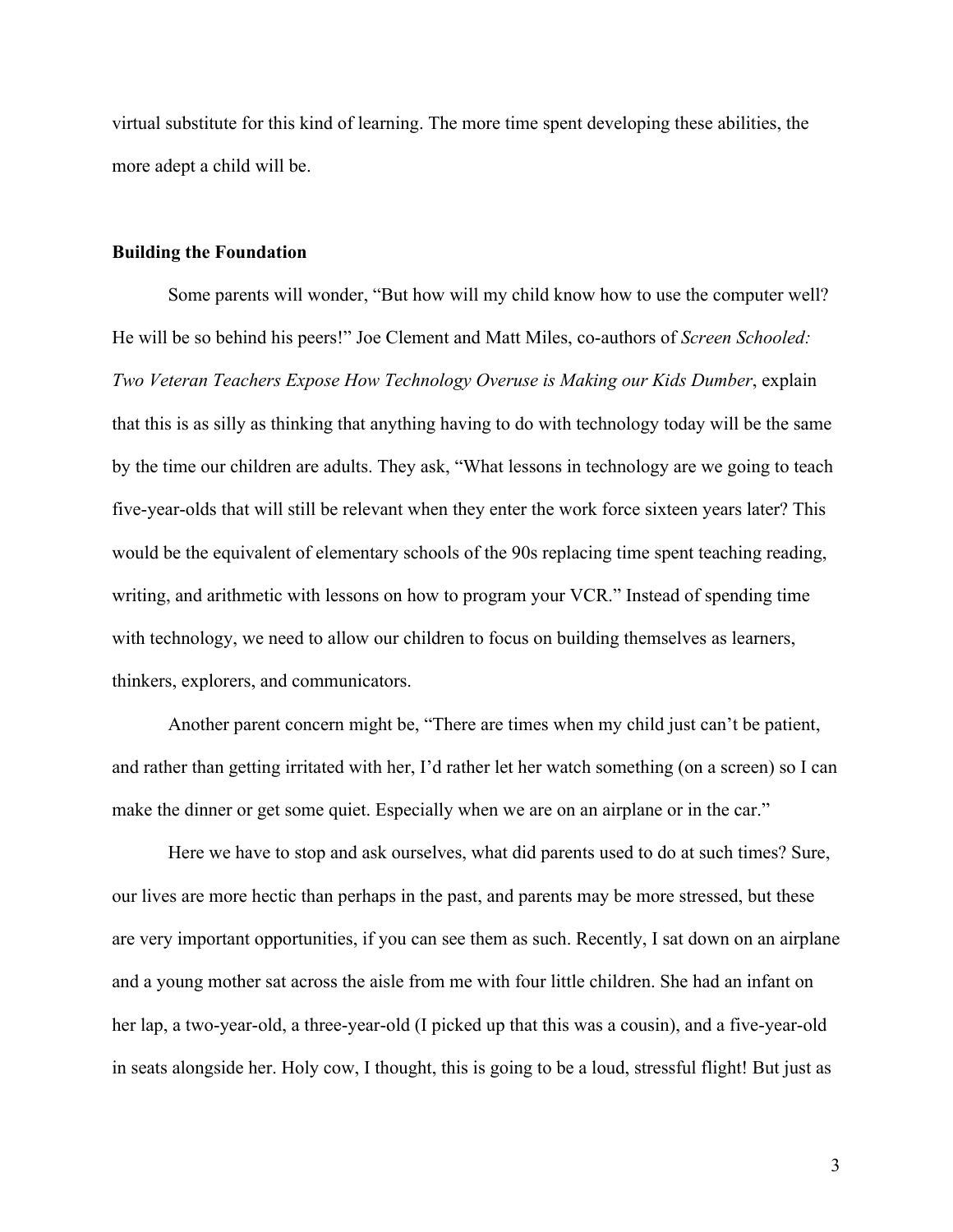virtual substitute for this kind of learning. The more time spent developing these abilities, the more adept a child will be.

## **Building the Foundation**

Some parents will wonder, "But how will my child know how to use the computer well? He will be so behind his peers!" Joe Clement and Matt Miles, co-authors of *Screen Schooled: Two Veteran Teachers Expose How Technology Overuse is Making our Kids Dumber*, explain that this is as silly as thinking that anything having to do with technology today will be the same by the time our children are adults. They ask, "What lessons in technology are we going to teach five-year-olds that will still be relevant when they enter the work force sixteen years later? This would be the equivalent of elementary schools of the 90s replacing time spent teaching reading, writing, and arithmetic with lessons on how to program your VCR." Instead of spending time with technology, we need to allow our children to focus on building themselves as learners, thinkers, explorers, and communicators.

Another parent concern might be, "There are times when my child just can't be patient, and rather than getting irritated with her, I'd rather let her watch something (on a screen) so I can make the dinner or get some quiet. Especially when we are on an airplane or in the car."

Here we have to stop and ask ourselves, what did parents used to do at such times? Sure, our lives are more hectic than perhaps in the past, and parents may be more stressed, but these are very important opportunities, if you can see them as such. Recently, I sat down on an airplane and a young mother sat across the aisle from me with four little children. She had an infant on her lap, a two-year-old, a three-year-old (I picked up that this was a cousin), and a five-year-old in seats alongside her. Holy cow, I thought, this is going to be a loud, stressful flight! But just as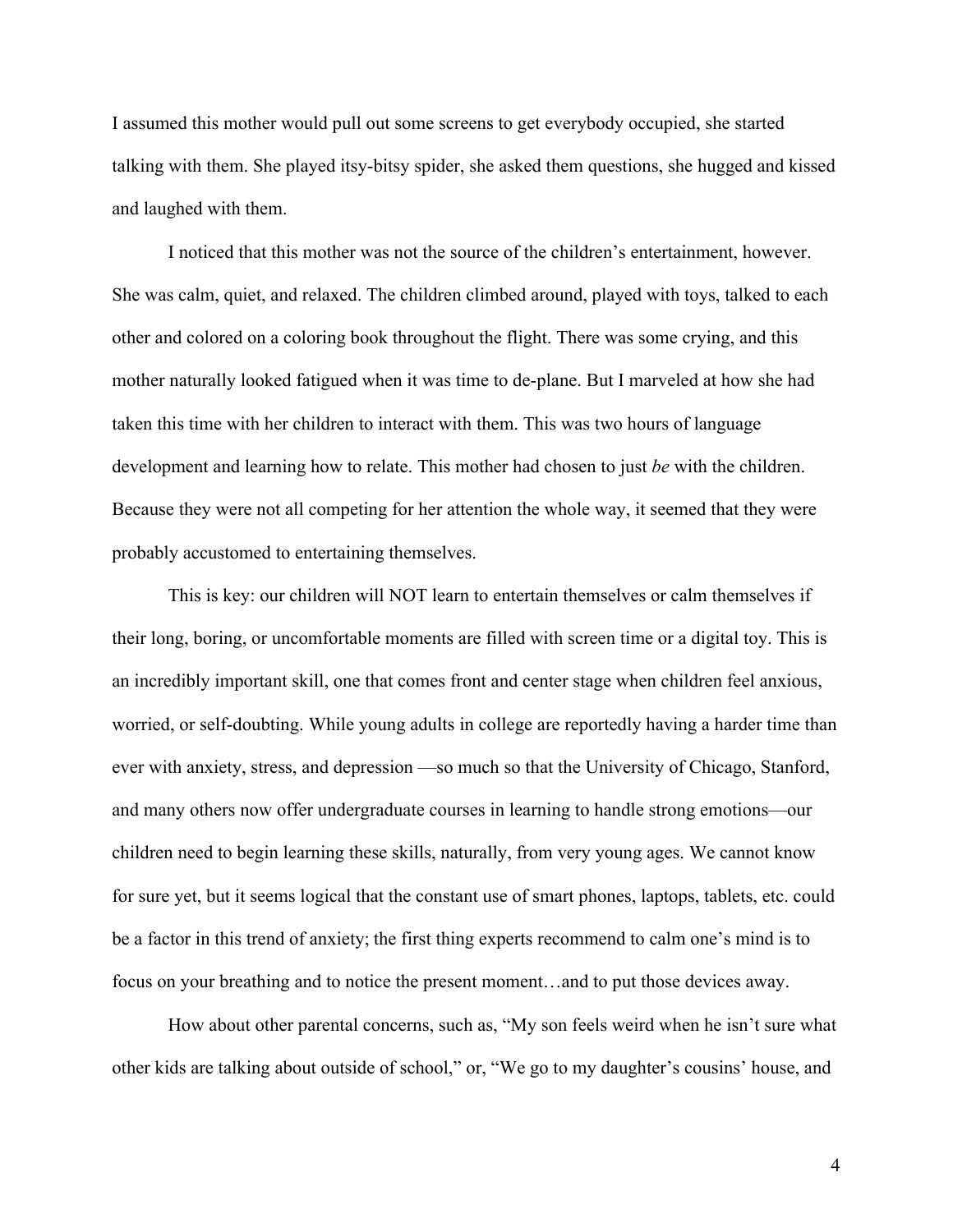I assumed this mother would pull out some screens to get everybody occupied, she started talking with them. She played itsy-bitsy spider, she asked them questions, she hugged and kissed and laughed with them.

I noticed that this mother was not the source of the children's entertainment, however. She was calm, quiet, and relaxed. The children climbed around, played with toys, talked to each other and colored on a coloring book throughout the flight. There was some crying, and this mother naturally looked fatigued when it was time to de-plane. But I marveled at how she had taken this time with her children to interact with them. This was two hours of language development and learning how to relate. This mother had chosen to just *be* with the children. Because they were not all competing for her attention the whole way, it seemed that they were probably accustomed to entertaining themselves.

This is key: our children will NOT learn to entertain themselves or calm themselves if their long, boring, or uncomfortable moments are filled with screen time or a digital toy. This is an incredibly important skill, one that comes front and center stage when children feel anxious, worried, or self-doubting. While young adults in college are reportedly having a harder time than ever with anxiety, stress, and depression —so much so that the University of Chicago, Stanford, and many others now offer undergraduate courses in learning to handle strong emotions—our children need to begin learning these skills, naturally, from very young ages. We cannot know for sure yet, but it seems logical that the constant use of smart phones, laptops, tablets, etc. could be a factor in this trend of anxiety; the first thing experts recommend to calm one's mind is to focus on your breathing and to notice the present moment…and to put those devices away.

How about other parental concerns, such as, "My son feels weird when he isn't sure what other kids are talking about outside of school," or, "We go to my daughter's cousins' house, and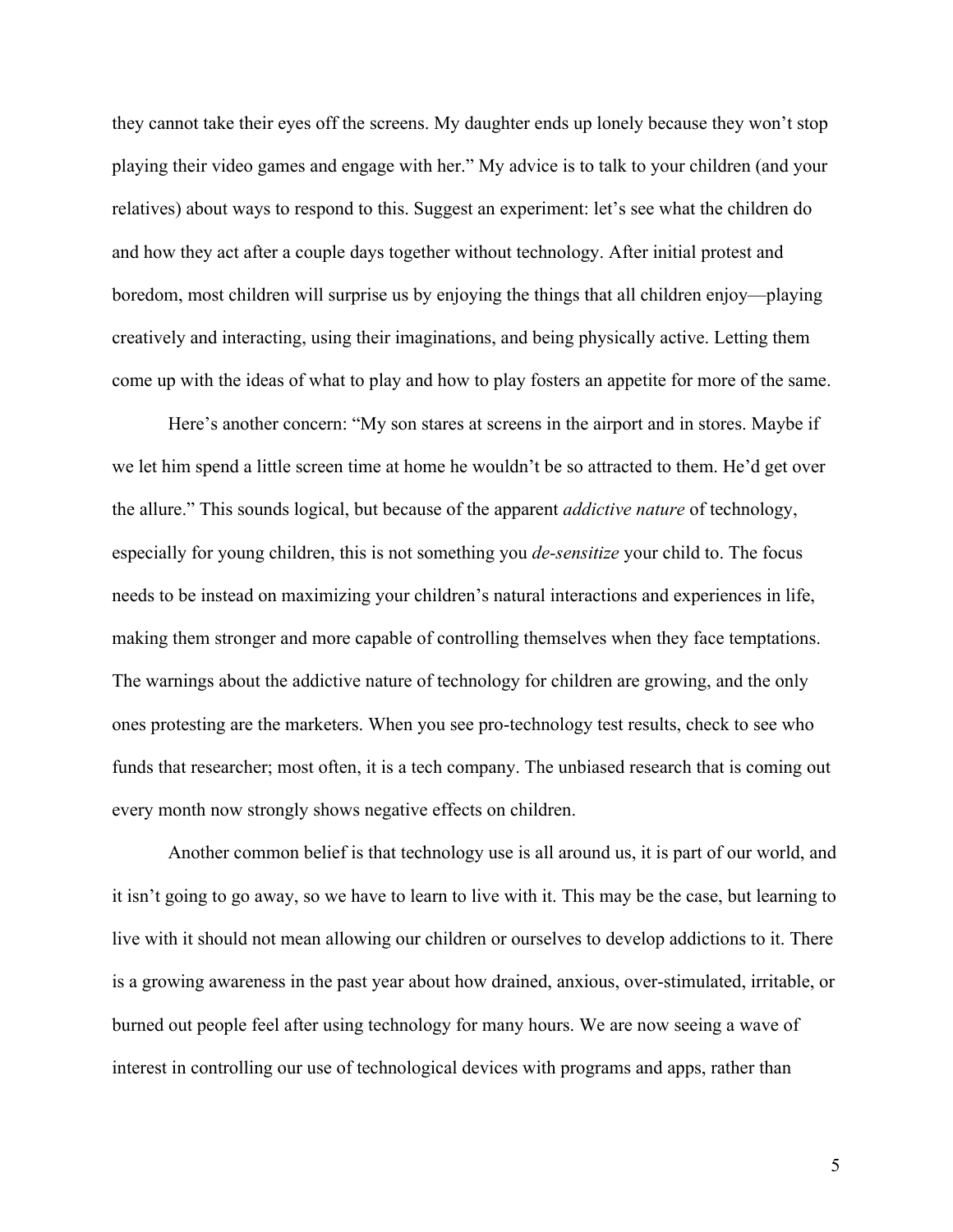they cannot take their eyes off the screens. My daughter ends up lonely because they won't stop playing their video games and engage with her." My advice is to talk to your children (and your relatives) about ways to respond to this. Suggest an experiment: let's see what the children do and how they act after a couple days together without technology. After initial protest and boredom, most children will surprise us by enjoying the things that all children enjoy—playing creatively and interacting, using their imaginations, and being physically active. Letting them come up with the ideas of what to play and how to play fosters an appetite for more of the same.

Here's another concern: "My son stares at screens in the airport and in stores. Maybe if we let him spend a little screen time at home he wouldn't be so attracted to them. He'd get over the allure." This sounds logical, but because of the apparent *addictive nature* of technology, especially for young children, this is not something you *de-sensitize* your child to. The focus needs to be instead on maximizing your children's natural interactions and experiences in life, making them stronger and more capable of controlling themselves when they face temptations. The warnings about the addictive nature of technology for children are growing, and the only ones protesting are the marketers. When you see pro-technology test results, check to see who funds that researcher; most often, it is a tech company. The unbiased research that is coming out every month now strongly shows negative effects on children.

Another common belief is that technology use is all around us, it is part of our world, and it isn't going to go away, so we have to learn to live with it. This may be the case, but learning to live with it should not mean allowing our children or ourselves to develop addictions to it. There is a growing awareness in the past year about how drained, anxious, over-stimulated, irritable, or burned out people feel after using technology for many hours. We are now seeing a wave of interest in controlling our use of technological devices with programs and apps, rather than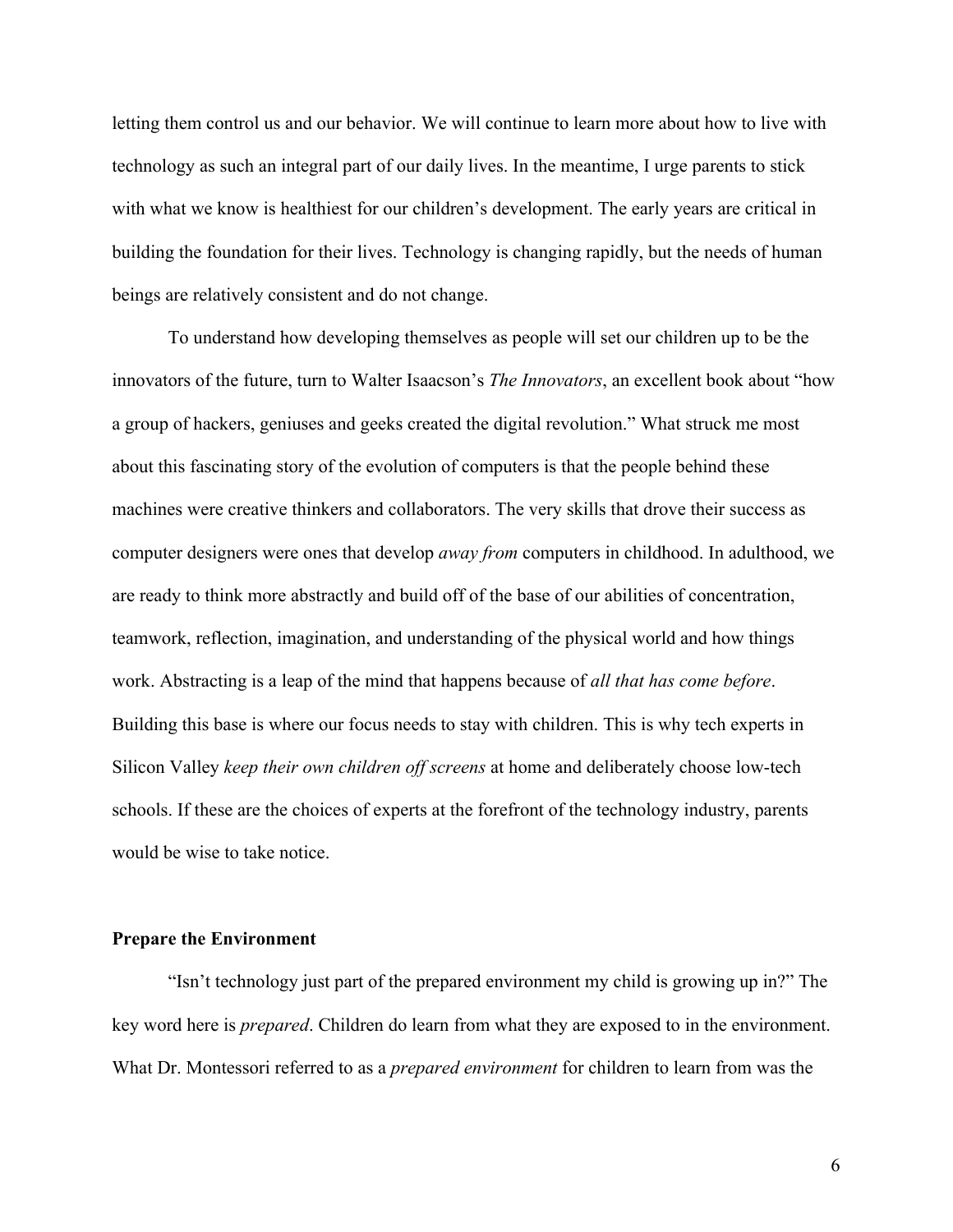letting them control us and our behavior. We will continue to learn more about how to live with technology as such an integral part of our daily lives. In the meantime, I urge parents to stick with what we know is healthiest for our children's development. The early years are critical in building the foundation for their lives. Technology is changing rapidly, but the needs of human beings are relatively consistent and do not change.

To understand how developing themselves as people will set our children up to be the innovators of the future, turn to Walter Isaacson's *The Innovators*, an excellent book about "how a group of hackers, geniuses and geeks created the digital revolution." What struck me most about this fascinating story of the evolution of computers is that the people behind these machines were creative thinkers and collaborators. The very skills that drove their success as computer designers were ones that develop *away from* computers in childhood. In adulthood, we are ready to think more abstractly and build off of the base of our abilities of concentration, teamwork, reflection, imagination, and understanding of the physical world and how things work. Abstracting is a leap of the mind that happens because of *all that has come before*. Building this base is where our focus needs to stay with children. This is why tech experts in Silicon Valley *keep their own children off screens* at home and deliberately choose low-tech schools. If these are the choices of experts at the forefront of the technology industry, parents would be wise to take notice.

## **Prepare the Environment**

"Isn't technology just part of the prepared environment my child is growing up in?" The key word here is *prepared*. Children do learn from what they are exposed to in the environment. What Dr. Montessori referred to as a *prepared environment* for children to learn from was the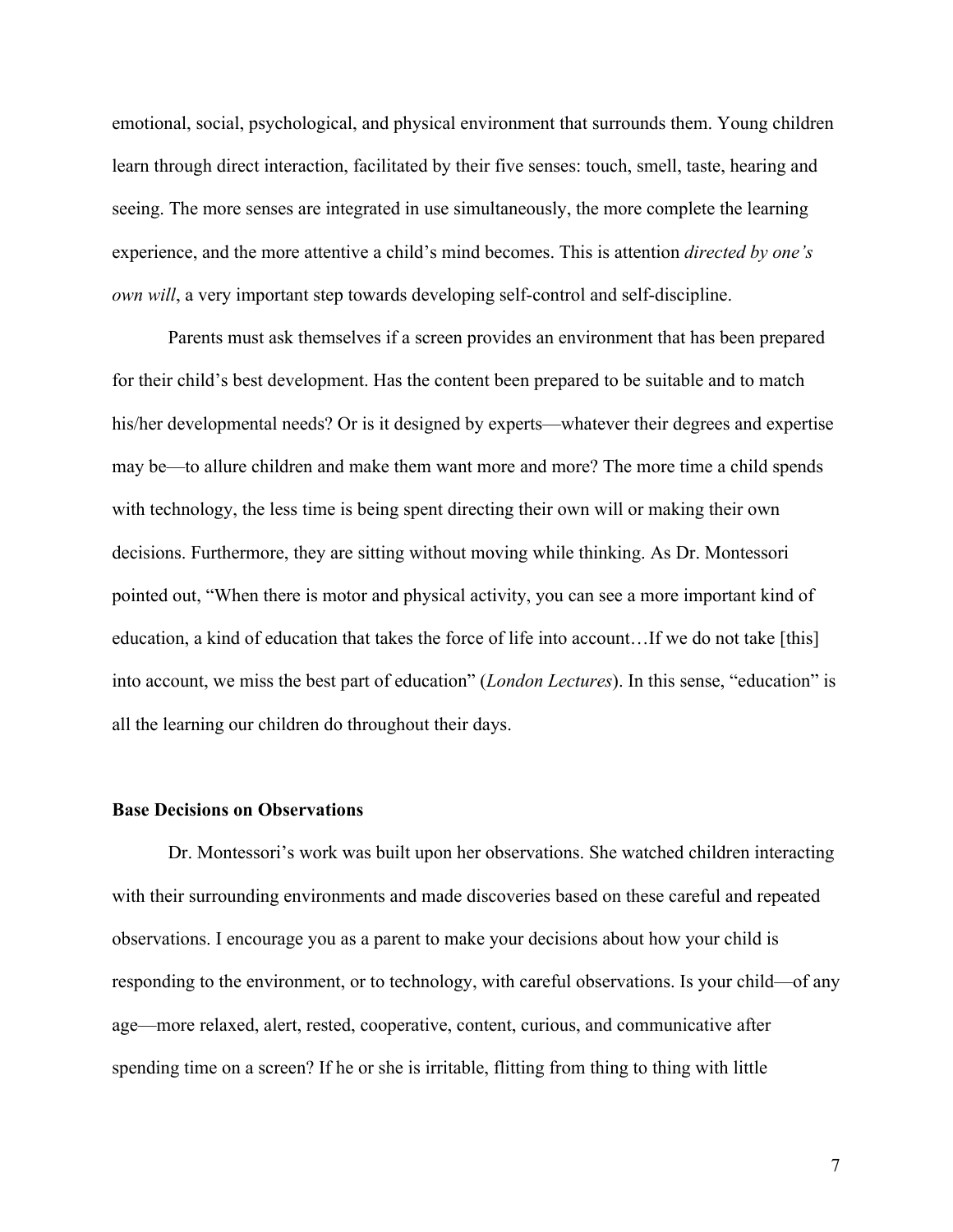emotional, social, psychological, and physical environment that surrounds them. Young children learn through direct interaction, facilitated by their five senses: touch, smell, taste, hearing and seeing. The more senses are integrated in use simultaneously, the more complete the learning experience, and the more attentive a child's mind becomes. This is attention *directed by one's own will*, a very important step towards developing self-control and self-discipline.

Parents must ask themselves if a screen provides an environment that has been prepared for their child's best development. Has the content been prepared to be suitable and to match his/her developmental needs? Or is it designed by experts—whatever their degrees and expertise may be—to allure children and make them want more and more? The more time a child spends with technology, the less time is being spent directing their own will or making their own decisions. Furthermore, they are sitting without moving while thinking. As Dr. Montessori pointed out, "When there is motor and physical activity, you can see a more important kind of education, a kind of education that takes the force of life into account…If we do not take [this] into account, we miss the best part of education" (*London Lectures*). In this sense, "education" is all the learning our children do throughout their days.

#### **Base Decisions on Observations**

Dr. Montessori's work was built upon her observations. She watched children interacting with their surrounding environments and made discoveries based on these careful and repeated observations. I encourage you as a parent to make your decisions about how your child is responding to the environment, or to technology, with careful observations. Is your child—of any age—more relaxed, alert, rested, cooperative, content, curious, and communicative after spending time on a screen? If he or she is irritable, flitting from thing to thing with little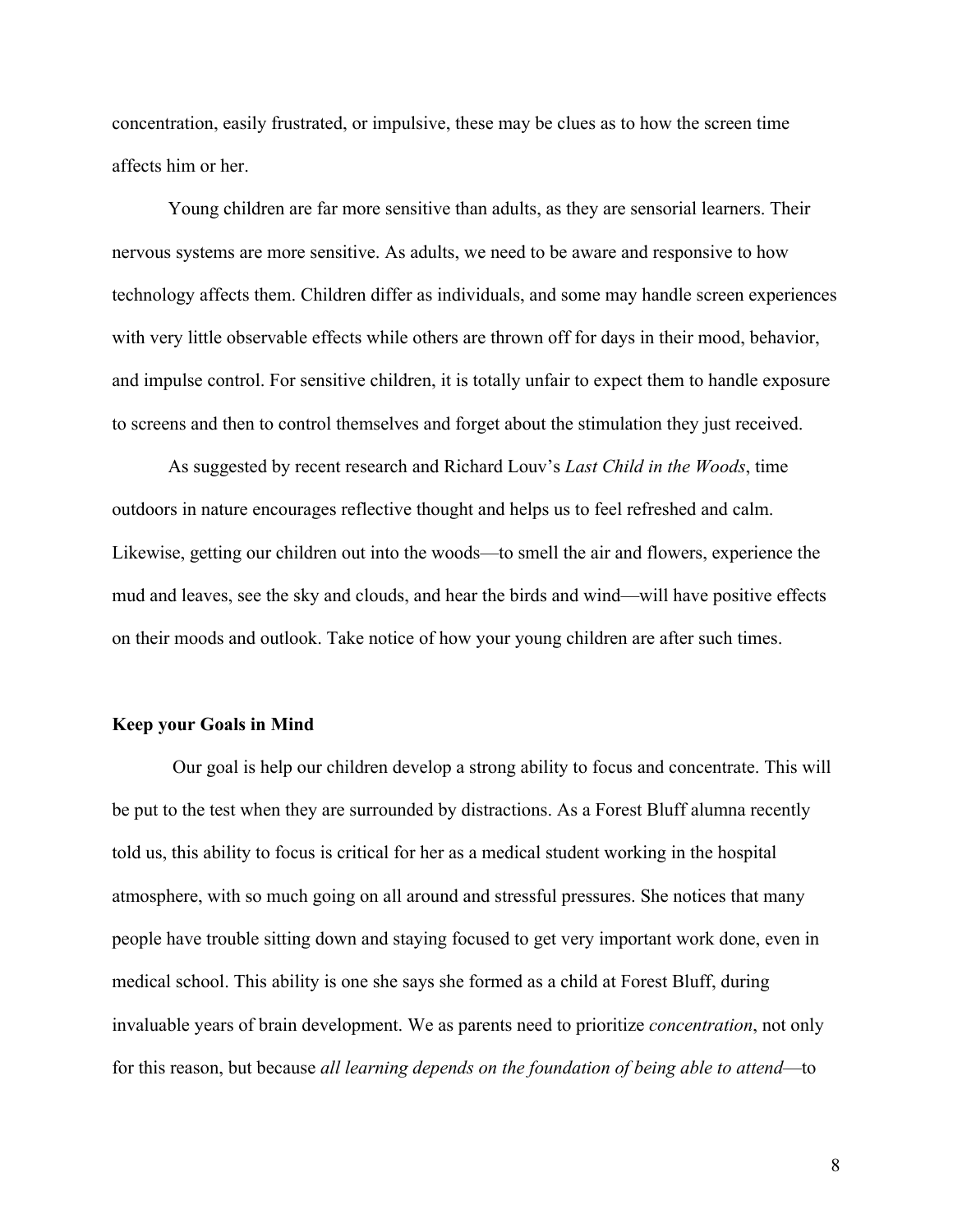concentration, easily frustrated, or impulsive, these may be clues as to how the screen time affects him or her.

Young children are far more sensitive than adults, as they are sensorial learners. Their nervous systems are more sensitive. As adults, we need to be aware and responsive to how technology affects them. Children differ as individuals, and some may handle screen experiences with very little observable effects while others are thrown off for days in their mood, behavior, and impulse control. For sensitive children, it is totally unfair to expect them to handle exposure to screens and then to control themselves and forget about the stimulation they just received.

As suggested by recent research and Richard Louv's *Last Child in the Woods*, time outdoors in nature encourages reflective thought and helps us to feel refreshed and calm. Likewise, getting our children out into the woods—to smell the air and flowers, experience the mud and leaves, see the sky and clouds, and hear the birds and wind—will have positive effects on their moods and outlook. Take notice of how your young children are after such times.

#### **Keep your Goals in Mind**

Our goal is help our children develop a strong ability to focus and concentrate. This will be put to the test when they are surrounded by distractions. As a Forest Bluff alumna recently told us, this ability to focus is critical for her as a medical student working in the hospital atmosphere, with so much going on all around and stressful pressures. She notices that many people have trouble sitting down and staying focused to get very important work done, even in medical school. This ability is one she says she formed as a child at Forest Bluff, during invaluable years of brain development. We as parents need to prioritize *concentration*, not only for this reason, but because *all learning depends on the foundation of being able to attend*—to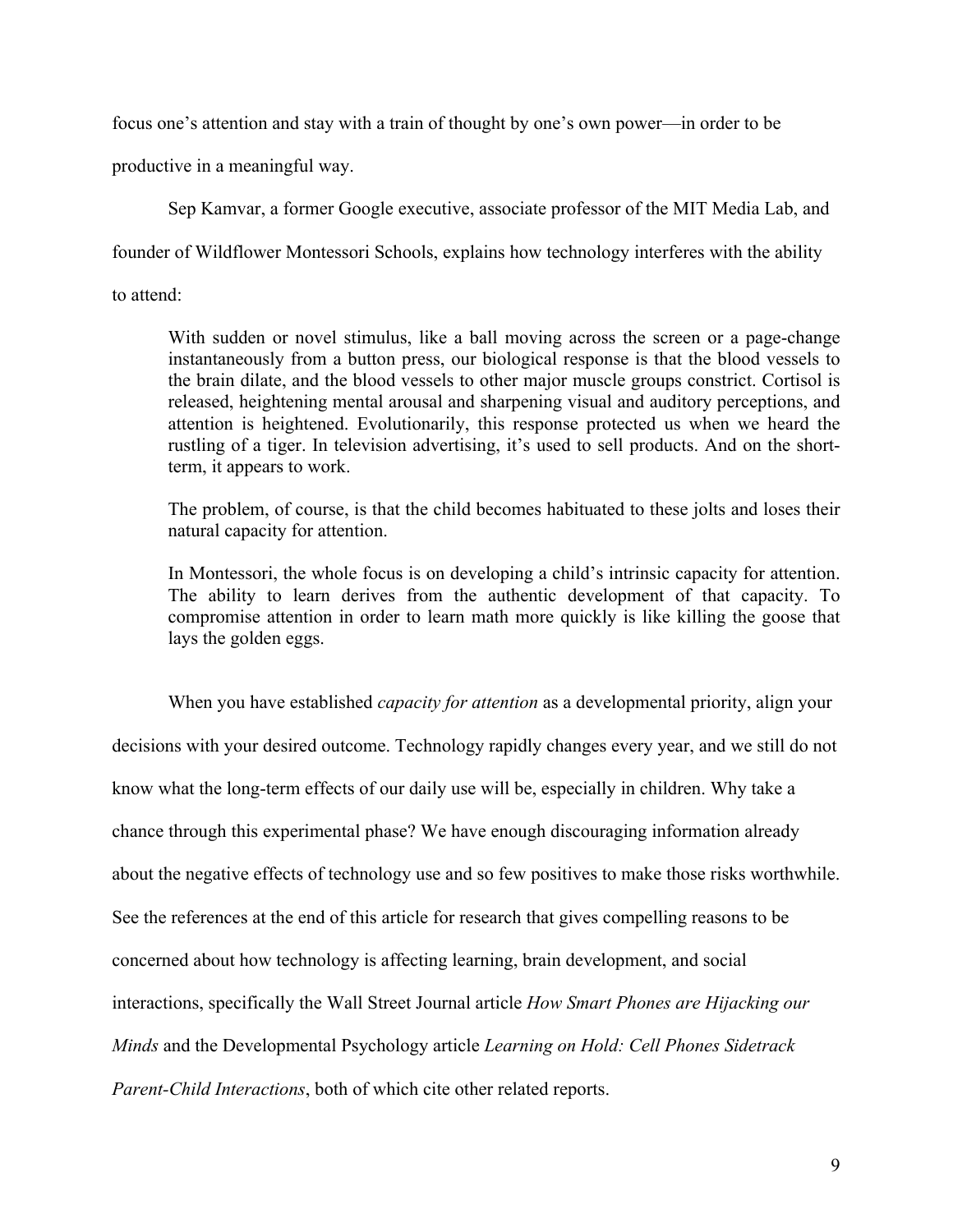focus one's attention and stay with a train of thought by one's own power—in order to be

productive in a meaningful way.

Sep Kamvar, a former Google executive, associate professor of the MIT Media Lab, and

founder of Wildflower Montessori Schools, explains how technology interferes with the ability

to attend:

With sudden or novel stimulus, like a ball moving across the screen or a page-change instantaneously from a button press, our biological response is that the blood vessels to the brain dilate, and the blood vessels to other major muscle groups constrict. Cortisol is released, heightening mental arousal and sharpening visual and auditory perceptions, and attention is heightened. Evolutionarily, this response protected us when we heard the rustling of a tiger. In television advertising, it's used to sell products. And on the shortterm, it appears to work.

The problem, of course, is that the child becomes habituated to these jolts and loses their natural capacity for attention.

In Montessori, the whole focus is on developing a child's intrinsic capacity for attention. The ability to learn derives from the authentic development of that capacity. To compromise attention in order to learn math more quickly is like killing the goose that lays the golden eggs.

When you have established *capacity for attention* as a developmental priority, align your decisions with your desired outcome. Technology rapidly changes every year, and we still do not know what the long-term effects of our daily use will be, especially in children. Why take a chance through this experimental phase? We have enough discouraging information already about the negative effects of technology use and so few positives to make those risks worthwhile. See the references at the end of this article for research that gives compelling reasons to be concerned about how technology is affecting learning, brain development, and social interactions, specifically the Wall Street Journal article *How Smart Phones are Hijacking our Minds* and the Developmental Psychology article *Learning on Hold: Cell Phones Sidetrack Parent-Child Interactions*, both of which cite other related reports.